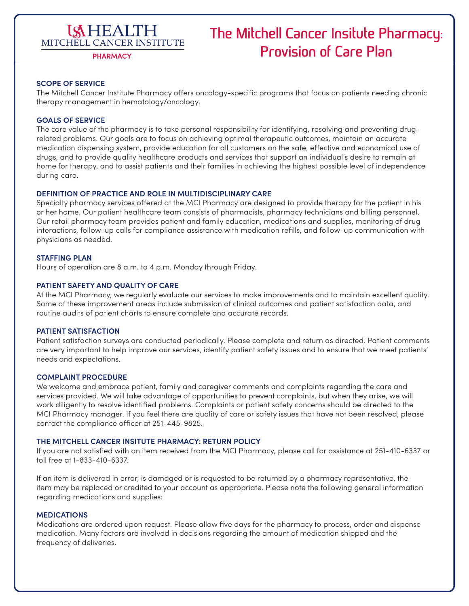### **ISHEALTH** MITCHELL CANCER INSTITUTE

## **The Mitchell Cancer Insitute Pharmacy: Provision of Care Plan**

**PHARMACY**

### **SCOPE OF SERVICE**

The Mitchell Cancer Institute Pharmacy offers oncology-specific programs that focus on patients needing chronic therapy management in hematology/oncology.

### **GOALS OF SERVICE**

The core value of the pharmacy is to take personal responsibility for identifying, resolving and preventing drugrelated problems. Our goals are to focus on achieving optimal therapeutic outcomes, maintain an accurate medication dispensing system, provide education for all customers on the safe, effective and economical use of drugs, and to provide quality healthcare products and services that support an individual's desire to remain at home for therapy, and to assist patients and their families in achieving the highest possible level of independence during care.

### **DEFINITION OF PRACTICE AND ROLE IN MULTIDISCIPLINARY CARE**

Specialty pharmacy services offered at the MCI Pharmacy are designed to provide therapy for the patient in his or her home. Our patient healthcare team consists of pharmacists, pharmacy technicians and billing personnel. Our retail pharmacy team provides patient and family education, medications and supplies, monitoring of drug interactions, follow-up calls for compliance assistance with medication refills, and follow-up communication with physicians as needed.

### **STAFFING PLAN**

Hours of operation are 8 a.m. to 4 p.m. Monday through Friday.

### **PATIENT SAFETY AND QUALITY OF CARE**

At the MCI Pharmacy, we regularly evaluate our services to make improvements and to maintain excellent quality. Some of these improvement areas include submission of clinical outcomes and patient satisfaction data, and routine audits of patient charts to ensure complete and accurate records.

### **PATIENT SATISFACTION**

Patient satisfaction surveys are conducted periodically. Please complete and return as directed. Patient comments are very important to help improve our services, identify patient safety issues and to ensure that we meet patients' needs and expectations.

### **COMPLAINT PROCEDURE**

We welcome and embrace patient, family and caregiver comments and complaints regarding the care and services provided. We will take advantage of opportunities to prevent complaints, but when they arise, we will work diligently to resolve identified problems. Complaints or patient safety concerns should be directed to the MCI Pharmacy manager. If you feel there are quality of care or safety issues that have not been resolved, please contact the compliance officer at 251-445-9825.

### **THE MITCHELL CANCER INSITUTE PHARMACY: RETURN POLICY**

If you are not satisfied with an item received from the MCI Pharmacy, please call for assistance at 251-410-6337 or toll free at 1-833-410-6337.

If an item is delivered in error, is damaged or is requested to be returned by a pharmacy representative, the item may be replaced or credited to your account as appropriate. Please note the following general information regarding medications and supplies:

### **MEDICATIONS**

Medications are ordered upon request. Please allow five days for the pharmacy to process, order and dispense medication. Many factors are involved in decisions regarding the amount of medication shipped and the frequency of deliveries.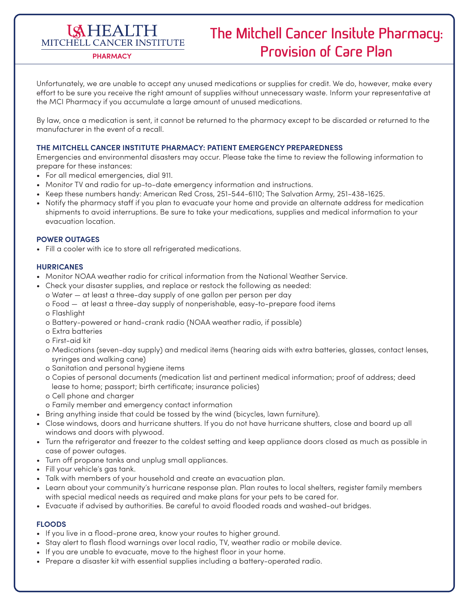# **ISHEALTH**

## **The Mitchell Cancer Insitute Pharmacy:**  MITCHELL CANCER INSTITUTE<br>
PRARMACY **PLANACE PLANACE PLANACE PLANACE PLANACE PLANACE PLAN**

Unfortunately, we are unable to accept any unused medications or supplies for credit. We do, however, make every effort to be sure you receive the right amount of supplies without unnecessary waste. Inform your representative at the MCI Pharmacy if you accumulate a large amount of unused medications.

By law, once a medication is sent, it cannot be returned to the pharmacy except to be discarded or returned to the manufacturer in the event of a recall.

### **THE MITCHELL CANCER INSTITUTE PHARMACY: PATIENT EMERGENCY PREPAREDNESS**

Emergencies and environmental disasters may occur. Please take the time to review the following information to prepare for these instances:

- For all medical emergencies, dial 911.
- Monitor TV and radio for up-to-date emergency information and instructions.
- Keep these numbers handy: American Red Cross, 251-544-6110; The Salvation Army, 251-438-1625.
- Notify the pharmacy staff if you plan to evacuate your home and provide an alternate address for medication shipments to avoid interruptions. Be sure to take your medications, supplies and medical information to your evacuation location.

### **POWER OUTAGES**

• Fill a cooler with ice to store all refrigerated medications.

### **HURRICANES**

- Monitor NOAA weather radio for critical information from the National Weather Service.
- Check your disaster supplies, and replace or restock the following as needed:
	- o Water at least a three-day supply of one gallon per person per day
	- o Food at least a three-day supply of nonperishable, easy-to-prepare food items
	- o Flashlight
	- o Battery-powered or hand-crank radio (NOAA weather radio, if possible)
	- o Extra batteries
	- o First-aid kit
	- o Medications (seven-day supply) and medical items (hearing aids with extra batteries, glasses, contact lenses, syringes and walking cane)
	- o Sanitation and personal hygiene items
	- o Copies of personal documents (medication list and pertinent medical information; proof of address; deed lease to home; passport; birth certificate; insurance policies)
	- o Cell phone and charger
	- o Family member and emergency contact information
- Bring anything inside that could be tossed by the wind (bicycles, lawn furniture).
- Close windows, doors and hurricane shutters. If you do not have hurricane shutters, close and board up all windows and doors with plywood.
- Turn the refrigerator and freezer to the coldest setting and keep appliance doors closed as much as possible in case of power outages.
- Turn off propane tanks and unplug small appliances.
- Fill your vehicle's gas tank.
- Talk with members of your household and create an evacuation plan.
- Learn about your community's hurricane response plan. Plan routes to local shelters, register family members with special medical needs as required and make plans for your pets to be cared for.
- Evacuate if advised by authorities. Be careful to avoid flooded roads and washed-out bridges.

### **FLOODS**

- If you live in a flood-prone area, know your routes to higher ground.
- Stay alert to flash flood warnings over local radio, TV, weather radio or mobile device.
- If you are unable to evacuate, move to the highest floor in your home.
- Prepare a disaster kit with essential supplies including a battery-operated radio.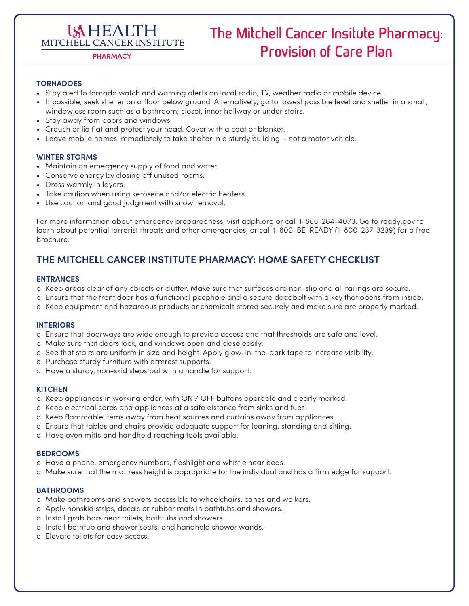# **ISHEALTH**

## **The Mitchell Cancer Insitute Pharmacy:**  MITCHELL CANCER INSTITUTE<br>
PRARMACY **PLANACE PLANACE PLANACE PLANACE PLANACE PLANACE PLAN**

### **TORNADOES**

- Stay alert to tornado watch and warning alerts on local radio, TV, weather radio or mobile device.
- If possible, seek shelter on a floor below ground. Alternatively, go to lowest possible level and shelter in a small, windowless room such as a bathroom, closet, inner hallway or under stairs.
- Stay away from doors and windows.
- Crouch or lie flat and protect your head. Cover with a coat or blanket.
- Leave mobile homes immediately to take shelter in a sturdy building not a motor vehicle.

### **WINTER STORMS**

- Maintain an emergency supply of food and water.
- Conserve energy by closing off unused rooms.
- Dress warmly in layers.
- Take caution when using kerosene and/or electric heaters.
- Use caution and good judgment with snow removal.

For more information about emergency preparedness, visit adph.org or call 1-866-264-4073. Go to ready.gov to learn about potential terrorist threats and other emergencies, or call 1-800-BE-READY (1-800-237-3239) for a free brochure.

### **THE MITCHELL CANCER INSTITUTE PHARMACY: HOME SAFETY CHECKLIST**

### **ENTRANCES**

- o Keep areas clear of any objects or clutter. Make sure that surfaces are non-slip and all railings are secure.
- o Ensure that the front door has a functional peephole and a secure deadbolt with a key that opens from inside.
- o Keep equipment and hazardous products or chemicals stored securely and make sure are properly marked.

### **INTERIORS**

- o Ensure that doorways are wide enough to provide access and that thresholds are safe and level.
- o Make sure that doors lock, and windows open and close easily.
- o See that stairs are uniform in size and height. Apply glow-in-the-dark tape to increase visibility.
- o Purchase sturdy furniture with armrest supports.
- o Have a sturdy, non-skid stepstool with a handle for support.

### **KITCHEN**

- o Keep appliances in working order, with ON / OFF buttons operable and clearly marked.
- o Keep electrical cords and appliances at a safe distance from sinks and tubs.
- o Keep flammable items away from heat sources and curtains away from appliances.
- o Ensure that tables and chairs provide adequate support for leaning, standing and sitting.
- o Have oven mitts and handheld reaching tools available.

### **BEDROOMS**

- o Have a phone, emergency numbers, flashlight and whistle near beds.
- o Make sure that the mattress height is appropriate for the individual and has a firm edge for support.

### **BATHROOMS**

- o Make bathrooms and showers accessible to wheelchairs, canes and walkers.
- o Apply nonskid strips, decals or rubber mats in bathtubs and showers.
- o Install grab bars near toilets, bathtubs and showers.
- o Install bathtub and shower seats, and handheld shower wands.
- o Elevate toilets for easy access.